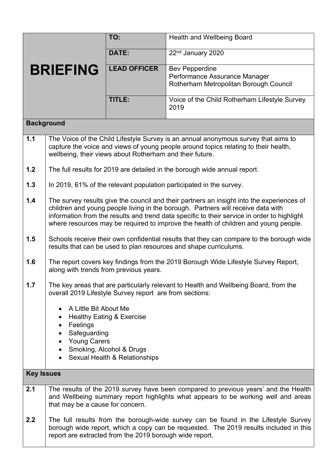|                   |                                                                                                                                                                                                                                                                                                                                                                     | TO:                                                       | Health and Wellbeing Board                                                                                                                                               |  |  |
|-------------------|---------------------------------------------------------------------------------------------------------------------------------------------------------------------------------------------------------------------------------------------------------------------------------------------------------------------------------------------------------------------|-----------------------------------------------------------|--------------------------------------------------------------------------------------------------------------------------------------------------------------------------|--|--|
|                   |                                                                                                                                                                                                                                                                                                                                                                     | DATE:                                                     | 22 <sup>nd</sup> January 2020                                                                                                                                            |  |  |
| <b>BRIEFING</b>   |                                                                                                                                                                                                                                                                                                                                                                     | <b>LEAD OFFICER</b>                                       | <b>Bev Pepperdine</b><br>Performance Assurance Manager<br>Rotherham Metropolitan Borough Council                                                                         |  |  |
|                   |                                                                                                                                                                                                                                                                                                                                                                     | TITLE:                                                    | Voice of the Child Rotherham Lifestyle Survey<br>2019                                                                                                                    |  |  |
| <b>Background</b> |                                                                                                                                                                                                                                                                                                                                                                     |                                                           |                                                                                                                                                                          |  |  |
| 1.1               | The Voice of the Child Lifestyle Survey is an annual anonymous survey that aims to<br>capture the voice and views of young people around topics relating to their health,<br>wellbeing, their views about Rotherham and their future.                                                                                                                               |                                                           |                                                                                                                                                                          |  |  |
| 1.2               | The full results for 2019 are detailed in the borough wide annual report.                                                                                                                                                                                                                                                                                           |                                                           |                                                                                                                                                                          |  |  |
| 1.3               | In 2019, 61% of the relevant population participated in the survey.                                                                                                                                                                                                                                                                                                 |                                                           |                                                                                                                                                                          |  |  |
| 1.4               | The survey results give the council and their partners an insight into the experiences of<br>children and young people living in the borough. Partners will receive data with<br>information from the results and trend data specific to their service in order to highlight<br>where resources may be required to improve the health of children and young people. |                                                           |                                                                                                                                                                          |  |  |
| 1.5               | Schools receive their own confidential results that they can compare to the borough wide<br>results that can be used to plan resources and shape curriculums.                                                                                                                                                                                                       |                                                           |                                                                                                                                                                          |  |  |
| 1.6               | along with trends from previous years.                                                                                                                                                                                                                                                                                                                              |                                                           | The report covers key findings from the 2019 Borough Wide Lifestyle Survey Report,                                                                                       |  |  |
| 1.7               | The key areas that are particularly relevant to Health and Wellbeing Board, from the<br>overall 2019 Lifestyle Survey report are from sections:                                                                                                                                                                                                                     |                                                           |                                                                                                                                                                          |  |  |
|                   | A Little Bit About Me<br>$\bullet$                                                                                                                                                                                                                                                                                                                                  |                                                           |                                                                                                                                                                          |  |  |
|                   | $\bullet$<br>Feelings<br>٠                                                                                                                                                                                                                                                                                                                                          | <b>Healthy Eating &amp; Exercise</b>                      |                                                                                                                                                                          |  |  |
|                   | Safeguarding<br><b>Young Carers</b><br>$\bullet$                                                                                                                                                                                                                                                                                                                    |                                                           |                                                                                                                                                                          |  |  |
|                   | $\bullet$                                                                                                                                                                                                                                                                                                                                                           | Smoking, Alcohol & Drugs<br>Sexual Health & Relationships |                                                                                                                                                                          |  |  |
| <b>Key Issues</b> |                                                                                                                                                                                                                                                                                                                                                                     |                                                           |                                                                                                                                                                          |  |  |
| 2.1               | that may be a cause for concern.                                                                                                                                                                                                                                                                                                                                    |                                                           | The results of the 2019 survey have been compared to previous years' and the Health<br>and Wellbeing summary report highlights what appears to be working well and areas |  |  |
| 2.2               | The full results from the borough-wide survey can be found in the Lifestyle Survey<br>borough wide report, which a copy can be requested. The 2019 results included in this<br>report are extracted from the 2019 borough wide report.                                                                                                                              |                                                           |                                                                                                                                                                          |  |  |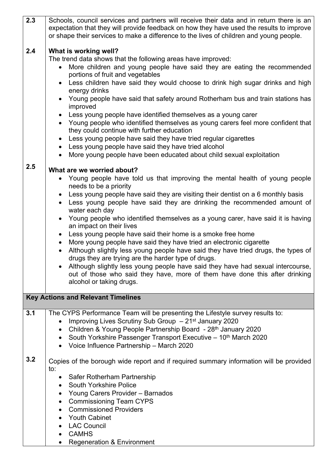| 2.3                                       | Schools, council services and partners will receive their data and in return there is an<br>expectation that they will provide feedback on how they have used the results to improve<br>or shape their services to make a difference to the lives of children and young people.                                                                                                                                                                                                                                                                                                                                                                                                                                                                                                                                                                                                                                                 |  |  |
|-------------------------------------------|---------------------------------------------------------------------------------------------------------------------------------------------------------------------------------------------------------------------------------------------------------------------------------------------------------------------------------------------------------------------------------------------------------------------------------------------------------------------------------------------------------------------------------------------------------------------------------------------------------------------------------------------------------------------------------------------------------------------------------------------------------------------------------------------------------------------------------------------------------------------------------------------------------------------------------|--|--|
| 2.4                                       | What is working well?<br>The trend data shows that the following areas have improved:<br>More children and young people have said they are eating the recommended<br>portions of fruit and vegetables<br>Less children have said they would choose to drink high sugar drinks and high<br>energy drinks<br>Young people have said that safety around Rotherham bus and train stations has<br>improved<br>Less young people have identified themselves as a young carer<br>• Young people who identified themselves as young carers feel more confident that<br>they could continue with further education<br>Less young people have said they have tried regular cigarettes<br>$\bullet$<br>Less young people have said they have tried alcohol<br>More young people have been educated about child sexual exploitation                                                                                                         |  |  |
| 2.5                                       | What are we worried about?<br>Young people have told us that improving the mental health of young people<br>needs to be a priority<br>Less young people have said they are visiting their dentist on a 6 monthly basis<br>Less young people have said they are drinking the recommended amount of<br>water each day<br>Young people who identified themselves as a young carer, have said it is having<br>an impact on their lives<br>Less young people have said their home is a smoke free home<br>$\bullet$<br>More young people have said they have tried an electronic cigarette<br>Although slightly less young people have said they have tried drugs, the types of<br>drugs they are trying are the harder type of drugs.<br>Although slightly less young people have said they have had sexual intercourse,<br>out of those who said they have, more of them have done this after drinking<br>alcohol or taking drugs. |  |  |
| <b>Key Actions and Relevant Timelines</b> |                                                                                                                                                                                                                                                                                                                                                                                                                                                                                                                                                                                                                                                                                                                                                                                                                                                                                                                                 |  |  |
| 3.1                                       | The CYPS Performance Team will be presenting the Lifestyle survey results to:<br>Improving Lives Scrutiny Sub Group - 21 <sup>st</sup> January 2020<br>Children & Young People Partnership Board - 28th January 2020<br>$\bullet$<br>South Yorkshire Passenger Transport Executive - 10 <sup>th</sup> March 2020<br>$\bullet$<br>• Voice Influence Partnership - March 2020                                                                                                                                                                                                                                                                                                                                                                                                                                                                                                                                                     |  |  |
| 3.2                                       | Copies of the borough wide report and if required summary information will be provided<br>to:<br>• Safer Rotherham Partnership<br><b>South Yorkshire Police</b><br>Young Carers Provider - Barnados<br><b>Commissioning Team CYPS</b><br>٠<br><b>Commissioned Providers</b><br><b>Youth Cabinet</b><br><b>LAC Council</b><br><b>CAMHS</b><br>$\bullet$                                                                                                                                                                                                                                                                                                                                                                                                                                                                                                                                                                          |  |  |
|                                           | <b>Regeneration &amp; Environment</b>                                                                                                                                                                                                                                                                                                                                                                                                                                                                                                                                                                                                                                                                                                                                                                                                                                                                                           |  |  |